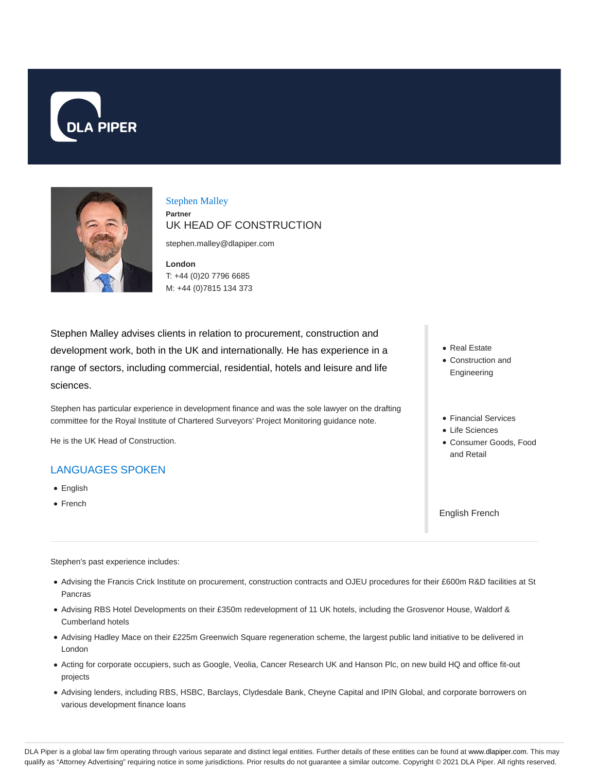



## Stephen Malley **Partner** UK HEAD OF CONSTRUCTION

stephen.malley@dlapiper.com

**London** T: +44 (0)20 7796 6685 M: +44 (0)7815 134 373

Stephen Malley advises clients in relation to procurement, construction and development work, both in the UK and internationally. He has experience in a range of sectors, including commercial, residential, hotels and leisure and life sciences.

Stephen has particular experience in development finance and was the sole lawyer on the drafting committee for the Royal Institute of Chartered Surveyors' Project Monitoring guidance note.

He is the UK Head of Construction.

# LANGUAGES SPOKEN

- English
- French
- Real Estate Construction and Engineering
- Financial Services
- Life Sciences
- Consumer Goods, Food and Retail

English French

Stephen's past experience includes:

- Advising the Francis Crick Institute on procurement, construction contracts and OJEU procedures for their £600m R&D facilities at St Pancras
- Advising RBS Hotel Developments on their £350m redevelopment of 11 UK hotels, including the Grosvenor House, Waldorf & Cumberland hotels
- Advising Hadley Mace on their £225m Greenwich Square regeneration scheme, the largest public land initiative to be delivered in London
- Acting for corporate occupiers, such as Google, Veolia, Cancer Research UK and Hanson Plc, on new build HQ and office fit-out projects
- Advising lenders, including RBS, HSBC, Barclays, Clydesdale Bank, Cheyne Capital and IPIN Global, and corporate borrowers on various development finance loans

DLA Piper is a global law firm operating through various separate and distinct legal entities. Further details of these entities can be found at www.dlapiper.com. This may qualify as "Attorney Advertising" requiring notice in some jurisdictions. Prior results do not guarantee a similar outcome. Copyright © 2021 DLA Piper. All rights reserved.